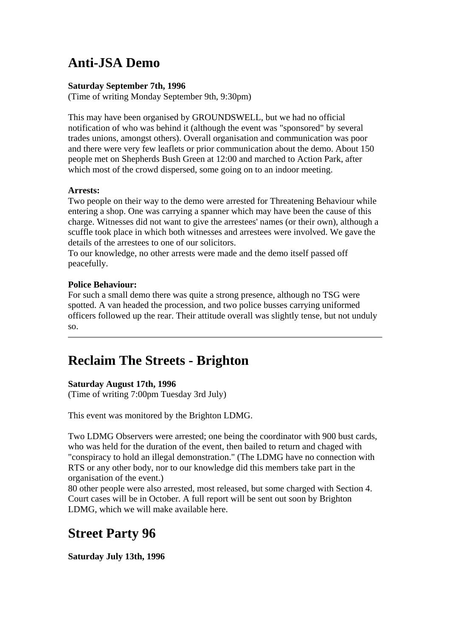# **Anti-JSA Demo**

#### **Saturday September 7th, 1996**

(Time of writing Monday September 9th, 9:30pm)

This may have been organised by GROUNDSWELL, but we had no official notification of who was behind it (although the event was "sponsored" by several trades unions, amongst others). Overall organisation and communication was poor and there were very few leaflets or prior communication about the demo. About 150 people met on Shepherds Bush Green at 12:00 and marched to Action Park, after which most of the crowd dispersed, some going on to an indoor meeting.

### **Arrests:**

Two people on their way to the demo were arrested for Threatening Behaviour while entering a shop. One was carrying a spanner which may have been the cause of this charge. Witnesses did not want to give the arrestees' names (or their own), although a scuffle took place in which both witnesses and arrestees were involved. We gave the details of the arrestees to one of our solicitors.

To our knowledge, no other arrests were made and the demo itself passed off peacefully.

### **Police Behaviour:**

For such a small demo there was quite a strong presence, although no TSG were spotted. A van headed the procession, and two police busses carrying uniformed officers followed up the rear. Their attitude overall was slightly tense, but not unduly so.

## **Reclaim The Streets - Brighton**

### **Saturday August 17th, 1996**

(Time of writing 7:00pm Tuesday 3rd July)

This event was monitored by the Brighton LDMG.

Two LDMG Observers were arrested; one being the coordinator with 900 bust cards, who was held for the duration of the event, then bailed to return and chaged with "conspiracy to hold an illegal demonstration." (The LDMG have no connection with RTS or any other body, nor to our knowledge did this members take part in the organisation of the event.)

80 other people were also arrested, most released, but some charged with Section 4. Court cases will be in October. A full report will be sent out soon by Brighton LDMG, which we will make available here.

## **Street Party 96**

**Saturday July 13th, 1996**